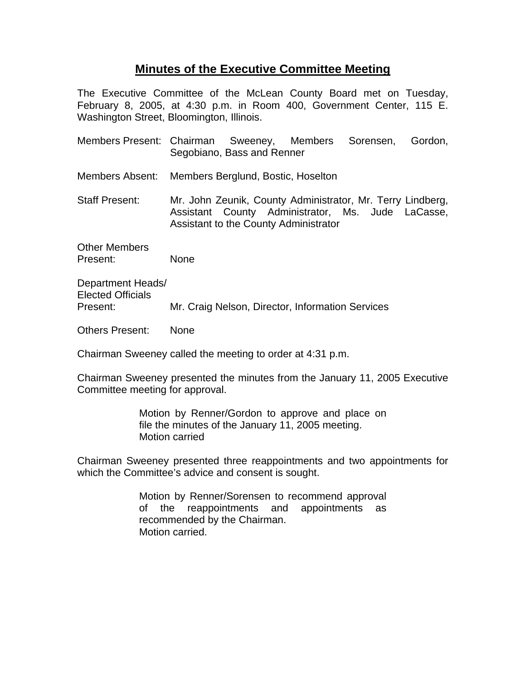## **Minutes of the Executive Committee Meeting**

The Executive Committee of the McLean County Board met on Tuesday, February 8, 2005, at 4:30 p.m. in Room 400, Government Center, 115 E. Washington Street, Bloomington, Illinois.

| Members Present: Chairman Sweeney, Members Sorensen, | Segobiano, Bass and Renner |                                                                                                                                                          | Gordon, |
|------------------------------------------------------|----------------------------|----------------------------------------------------------------------------------------------------------------------------------------------------------|---------|
| Members Absent: Members Berglund, Bostic, Hoselton   |                            |                                                                                                                                                          |         |
| <b>Staff Present:</b>                                |                            | Mr. John Zeunik, County Administrator, Mr. Terry Lindberg,<br>Assistant County Administrator, Ms. Jude LaCasse,<br>Assistant to the County Administrator |         |
| <b>Other Members</b><br>Present:                     | None                       |                                                                                                                                                          |         |
| Department Heads/<br><b>Elected Officials</b>        |                            |                                                                                                                                                          |         |

Present: Mr. Craig Nelson, Director, Information Services

Others Present: None

Chairman Sweeney called the meeting to order at 4:31 p.m.

Chairman Sweeney presented the minutes from the January 11, 2005 Executive Committee meeting for approval.

> Motion by Renner/Gordon to approve and place on file the minutes of the January 11, 2005 meeting. Motion carried

Chairman Sweeney presented three reappointments and two appointments for which the Committee's advice and consent is sought.

> Motion by Renner/Sorensen to recommend approval of the reappointments and appointments as recommended by the Chairman. Motion carried.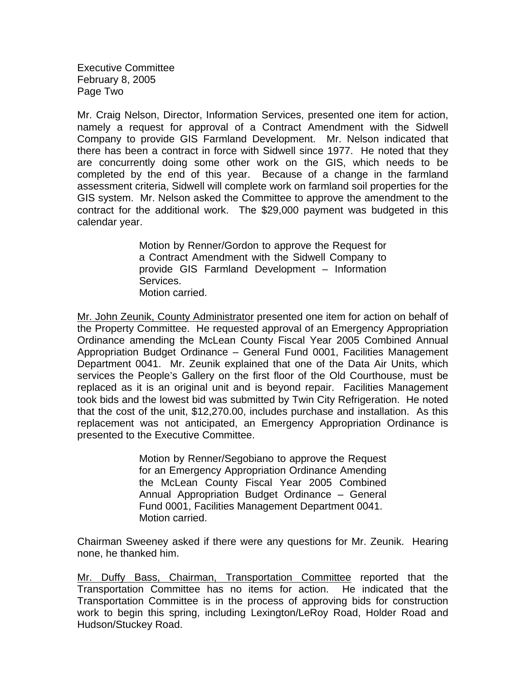Executive Committee February 8, 2005 Page Two

Mr. Craig Nelson, Director, Information Services, presented one item for action, namely a request for approval of a Contract Amendment with the Sidwell Company to provide GIS Farmland Development. Mr. Nelson indicated that there has been a contract in force with Sidwell since 1977. He noted that they are concurrently doing some other work on the GIS, which needs to be completed by the end of this year. Because of a change in the farmland assessment criteria, Sidwell will complete work on farmland soil properties for the GIS system. Mr. Nelson asked the Committee to approve the amendment to the contract for the additional work. The \$29,000 payment was budgeted in this calendar year.

> Motion by Renner/Gordon to approve the Request for a Contract Amendment with the Sidwell Company to provide GIS Farmland Development – Information Services. Motion carried.

Mr. John Zeunik, County Administrator presented one item for action on behalf of the Property Committee. He requested approval of an Emergency Appropriation Ordinance amending the McLean County Fiscal Year 2005 Combined Annual Appropriation Budget Ordinance – General Fund 0001, Facilities Management Department 0041. Mr. Zeunik explained that one of the Data Air Units, which services the People's Gallery on the first floor of the Old Courthouse, must be replaced as it is an original unit and is beyond repair. Facilities Management took bids and the lowest bid was submitted by Twin City Refrigeration. He noted that the cost of the unit, \$12,270.00, includes purchase and installation. As this replacement was not anticipated, an Emergency Appropriation Ordinance is presented to the Executive Committee.

> Motion by Renner/Segobiano to approve the Request for an Emergency Appropriation Ordinance Amending the McLean County Fiscal Year 2005 Combined Annual Appropriation Budget Ordinance – General Fund 0001, Facilities Management Department 0041. Motion carried.

Chairman Sweeney asked if there were any questions for Mr. Zeunik. Hearing none, he thanked him.

Mr. Duffy Bass, Chairman, Transportation Committee reported that the Transportation Committee has no items for action. He indicated that the Transportation Committee is in the process of approving bids for construction work to begin this spring, including Lexington/LeRoy Road, Holder Road and Hudson/Stuckey Road.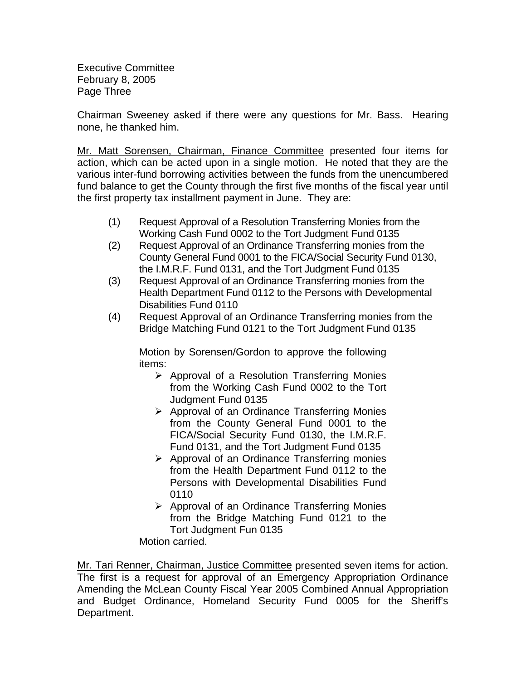Executive Committee February 8, 2005 Page Three

Chairman Sweeney asked if there were any questions for Mr. Bass. Hearing none, he thanked him.

Mr. Matt Sorensen, Chairman, Finance Committee presented four items for action, which can be acted upon in a single motion. He noted that they are the various inter-fund borrowing activities between the funds from the unencumbered fund balance to get the County through the first five months of the fiscal year until the first property tax installment payment in June. They are:

- (1) Request Approval of a Resolution Transferring Monies from the Working Cash Fund 0002 to the Tort Judgment Fund 0135
- (2) Request Approval of an Ordinance Transferring monies from the County General Fund 0001 to the FICA/Social Security Fund 0130, the I.M.R.F. Fund 0131, and the Tort Judgment Fund 0135
- (3) Request Approval of an Ordinance Transferring monies from the Health Department Fund 0112 to the Persons with Developmental Disabilities Fund 0110
- (4) Request Approval of an Ordinance Transferring monies from the Bridge Matching Fund 0121 to the Tort Judgment Fund 0135

Motion by Sorensen/Gordon to approve the following items:

- $\triangleright$  Approval of a Resolution Transferring Monies from the Working Cash Fund 0002 to the Tort Judgment Fund 0135
- $\triangleright$  Approval of an Ordinance Transferring Monies from the County General Fund 0001 to the FICA/Social Security Fund 0130, the I.M.R.F. Fund 0131, and the Tort Judgment Fund 0135
- $\triangleright$  Approval of an Ordinance Transferring monies from the Health Department Fund 0112 to the Persons with Developmental Disabilities Fund 0110
- $\triangleright$  Approval of an Ordinance Transferring Monies from the Bridge Matching Fund 0121 to the Tort Judgment Fun 0135

Motion carried.

Mr. Tari Renner, Chairman, Justice Committee presented seven items for action. The first is a request for approval of an Emergency Appropriation Ordinance Amending the McLean County Fiscal Year 2005 Combined Annual Appropriation and Budget Ordinance, Homeland Security Fund 0005 for the Sheriff's Department.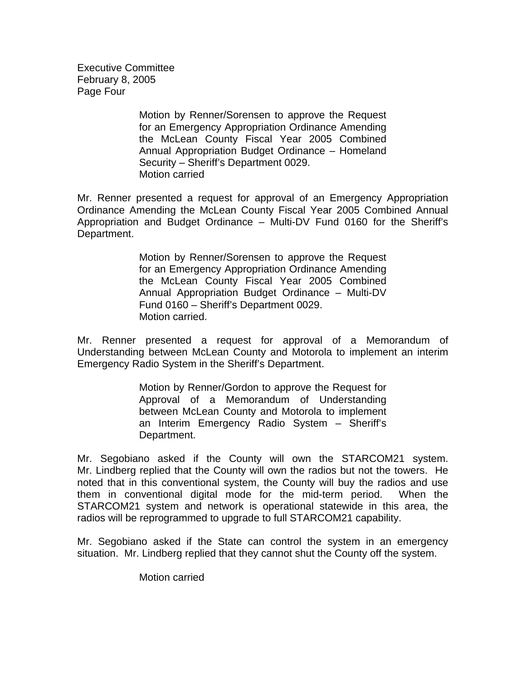Executive Committee February 8, 2005 Page Four

> Motion by Renner/Sorensen to approve the Request for an Emergency Appropriation Ordinance Amending the McLean County Fiscal Year 2005 Combined Annual Appropriation Budget Ordinance – Homeland Security – Sheriff's Department 0029. Motion carried

Mr. Renner presented a request for approval of an Emergency Appropriation Ordinance Amending the McLean County Fiscal Year 2005 Combined Annual Appropriation and Budget Ordinance – Multi-DV Fund 0160 for the Sheriff's Department.

> Motion by Renner/Sorensen to approve the Request for an Emergency Appropriation Ordinance Amending the McLean County Fiscal Year 2005 Combined Annual Appropriation Budget Ordinance – Multi-DV Fund 0160 – Sheriff's Department 0029. Motion carried.

Mr. Renner presented a request for approval of a Memorandum of Understanding between McLean County and Motorola to implement an interim Emergency Radio System in the Sheriff's Department.

> Motion by Renner/Gordon to approve the Request for Approval of a Memorandum of Understanding between McLean County and Motorola to implement an Interim Emergency Radio System – Sheriff's Department.

Mr. Segobiano asked if the County will own the STARCOM21 system. Mr. Lindberg replied that the County will own the radios but not the towers. He noted that in this conventional system, the County will buy the radios and use them in conventional digital mode for the mid-term period. When the STARCOM21 system and network is operational statewide in this area, the radios will be reprogrammed to upgrade to full STARCOM21 capability.

Mr. Segobiano asked if the State can control the system in an emergency situation. Mr. Lindberg replied that they cannot shut the County off the system.

Motion carried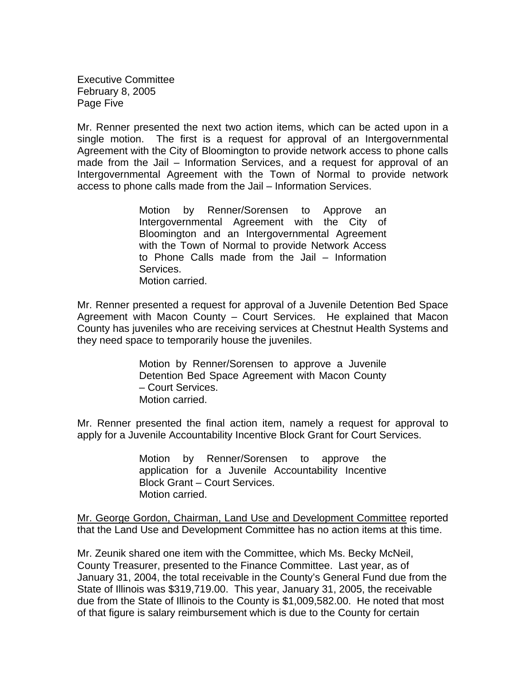Executive Committee February 8, 2005 Page Five

Mr. Renner presented the next two action items, which can be acted upon in a single motion. The first is a request for approval of an Intergovernmental Agreement with the City of Bloomington to provide network access to phone calls made from the Jail – Information Services, and a request for approval of an Intergovernmental Agreement with the Town of Normal to provide network access to phone calls made from the Jail – Information Services.

> Motion by Renner/Sorensen to Approve an Intergovernmental Agreement with the City of Bloomington and an Intergovernmental Agreement with the Town of Normal to provide Network Access to Phone Calls made from the Jail – Information Services. Motion carried.

Mr. Renner presented a request for approval of a Juvenile Detention Bed Space Agreement with Macon County – Court Services. He explained that Macon County has juveniles who are receiving services at Chestnut Health Systems and they need space to temporarily house the juveniles.

> Motion by Renner/Sorensen to approve a Juvenile Detention Bed Space Agreement with Macon County – Court Services. Motion carried.

Mr. Renner presented the final action item, namely a request for approval to apply for a Juvenile Accountability Incentive Block Grant for Court Services.

> Motion by Renner/Sorensen to approve the application for a Juvenile Accountability Incentive Block Grant – Court Services. Motion carried.

Mr. George Gordon, Chairman, Land Use and Development Committee reported that the Land Use and Development Committee has no action items at this time.

Mr. Zeunik shared one item with the Committee, which Ms. Becky McNeil, County Treasurer, presented to the Finance Committee. Last year, as of January 31, 2004, the total receivable in the County's General Fund due from the State of Illinois was \$319,719.00. This year, January 31, 2005, the receivable due from the State of Illinois to the County is \$1,009,582.00. He noted that most of that figure is salary reimbursement which is due to the County for certain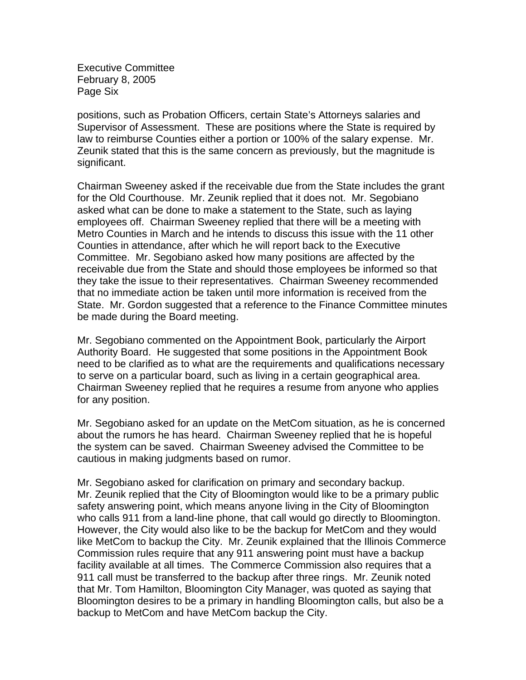Executive Committee February 8, 2005 Page Six

positions, such as Probation Officers, certain State's Attorneys salaries and Supervisor of Assessment. These are positions where the State is required by law to reimburse Counties either a portion or 100% of the salary expense. Mr. Zeunik stated that this is the same concern as previously, but the magnitude is significant.

Chairman Sweeney asked if the receivable due from the State includes the grant for the Old Courthouse. Mr. Zeunik replied that it does not. Mr. Segobiano asked what can be done to make a statement to the State, such as laying employees off. Chairman Sweeney replied that there will be a meeting with Metro Counties in March and he intends to discuss this issue with the 11 other Counties in attendance, after which he will report back to the Executive Committee. Mr. Segobiano asked how many positions are affected by the receivable due from the State and should those employees be informed so that they take the issue to their representatives. Chairman Sweeney recommended that no immediate action be taken until more information is received from the State. Mr. Gordon suggested that a reference to the Finance Committee minutes be made during the Board meeting.

Mr. Segobiano commented on the Appointment Book, particularly the Airport Authority Board. He suggested that some positions in the Appointment Book need to be clarified as to what are the requirements and qualifications necessary to serve on a particular board, such as living in a certain geographical area. Chairman Sweeney replied that he requires a resume from anyone who applies for any position.

Mr. Segobiano asked for an update on the MetCom situation, as he is concerned about the rumors he has heard. Chairman Sweeney replied that he is hopeful the system can be saved. Chairman Sweeney advised the Committee to be cautious in making judgments based on rumor.

Mr. Segobiano asked for clarification on primary and secondary backup. Mr. Zeunik replied that the City of Bloomington would like to be a primary public safety answering point, which means anyone living in the City of Bloomington who calls 911 from a land-line phone, that call would go directly to Bloomington. However, the City would also like to be the backup for MetCom and they would like MetCom to backup the City. Mr. Zeunik explained that the Illinois Commerce Commission rules require that any 911 answering point must have a backup facility available at all times. The Commerce Commission also requires that a 911 call must be transferred to the backup after three rings. Mr. Zeunik noted that Mr. Tom Hamilton, Bloomington City Manager, was quoted as saying that Bloomington desires to be a primary in handling Bloomington calls, but also be a backup to MetCom and have MetCom backup the City.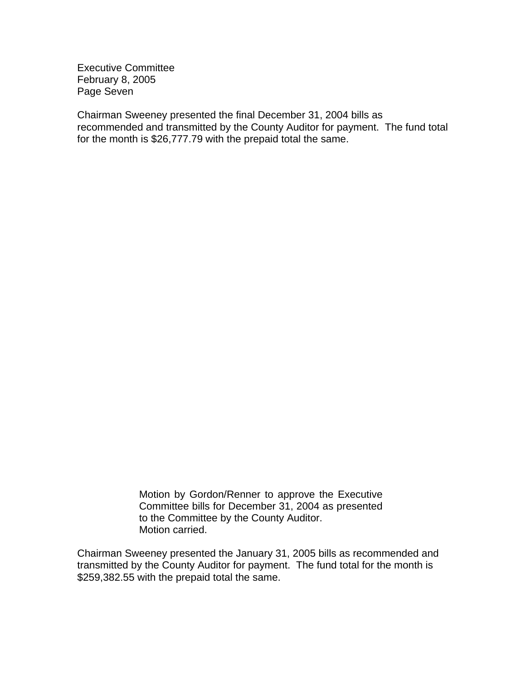Executive Committee February 8, 2005 Page Seven

Chairman Sweeney presented the final December 31, 2004 bills as recommended and transmitted by the County Auditor for payment. The fund total for the month is \$26,777.79 with the prepaid total the same.

> Motion by Gordon/Renner to approve the Executive Committee bills for December 31, 2004 as presented to the Committee by the County Auditor. Motion carried.

Chairman Sweeney presented the January 31, 2005 bills as recommended and transmitted by the County Auditor for payment. The fund total for the month is \$259,382.55 with the prepaid total the same.